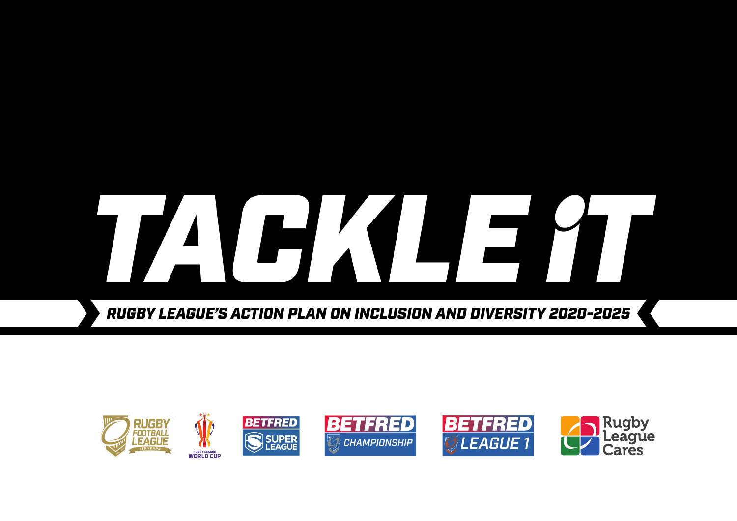# HX

*RUGBY LEAGUE'S ACTION PLAN ON INCLUSION AND DIVERSITY 2020-2025*

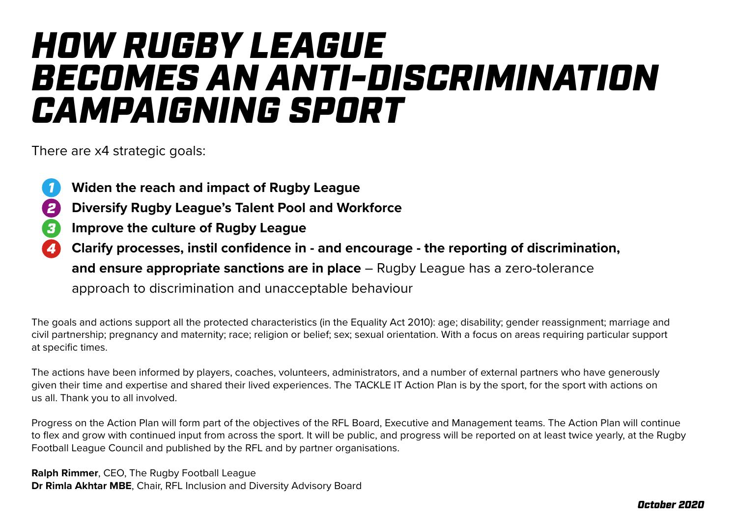# *HOW RUGBY LEAGUE BECOMES AN ANTI-DISCRIMINATION CAMPAIGNING SPORT*

There are x4 strategic goals:

- **Widen the reach and impact of Rugby League** *1*
- **Diversify Rugby League's Talent Pool and Workforce** *2*
- **Improve the culture of Rugby League**  *3*
- **Clarify processes, instil confidence in and encourage the reporting of discrimination, and ensure appropriate sanctions are in place** – Rugby League has a zero-tolerance approach to discrimination and unacceptable behaviour *4*

The goals and actions support all the protected characteristics (in the Equality Act 2010): age; disability; gender reassignment; marriage and civil partnership; pregnancy and maternity; race; religion or belief; sex; sexual orientation. With a focus on areas requiring particular support at specific times.

The actions have been informed by players, coaches, volunteers, administrators, and a number of external partners who have generously given their time and expertise and shared their lived experiences. The TACKLE IT Action Plan is by the sport, for the sport with actions on us all. Thank you to all involved.

Progress on the Action Plan will form part of the objectives of the RFL Board, Executive and Management teams. The Action Plan will continue to flex and grow with continued input from across the sport. It will be public, and progress will be reported on at least twice yearly, at the Rugby Football League Council and published by the RFL and by partner organisations.

**Ralph Rimmer**, CEO, The Rugby Football League **Dr Rimla Akhtar MBE**, Chair, RFL Inclusion and Diversity Advisory Board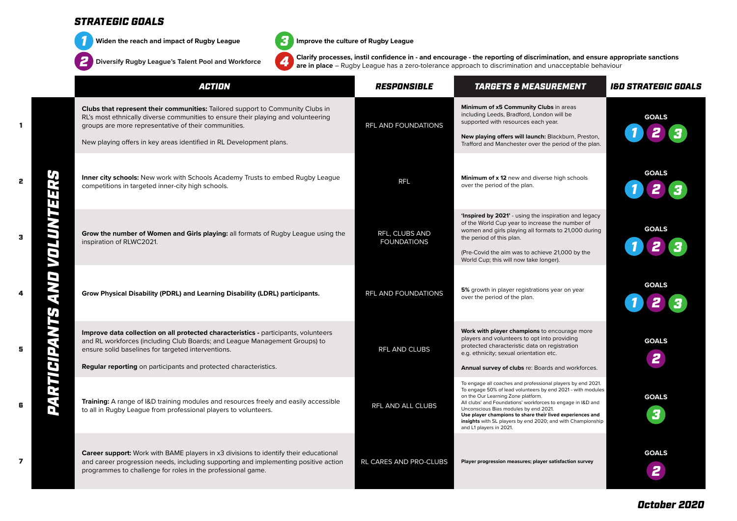

**Widen the reach and impact of Rugby League** *3*

**Diversify Rugby League's Talent Pool and Workforce** *4*



**Improve the culture of Rugby League**

**Clarify processes, instil confidence in - and encourage - the reporting of discrimination, and ensure appropriate sanctions are in place** – Rugby League has a zero-tolerance approach to discrimination and unacceptable behaviour

| <b>ACTION</b>                                                                                                                                                                                                                                                                                      | RESPONSIBLE                          | <b>TARGETS &amp; MEASUREMENT</b>                                                                                                                                                                                                                                                                                                                                                                                                | <b>I&amp;D STRATEGIC GOALS</b> |
|----------------------------------------------------------------------------------------------------------------------------------------------------------------------------------------------------------------------------------------------------------------------------------------------------|--------------------------------------|---------------------------------------------------------------------------------------------------------------------------------------------------------------------------------------------------------------------------------------------------------------------------------------------------------------------------------------------------------------------------------------------------------------------------------|--------------------------------|
| Clubs that represent their communities: Tailored support to Community Clubs in<br>RL's most ethnically diverse communities to ensure their playing and volunteering<br>groups are more representative of their communities.<br>New playing offers in key areas identified in RL Development plans. | RFL AND FOUNDATIONS                  | Minimum of x5 Community Clubs in areas<br>including Leeds, Bradford, London will be<br>supported with resources each year.<br>New playing offers will launch: Blackburn, Preston,<br>Trafford and Manchester over the period of the plan.                                                                                                                                                                                       | <b>GOALS</b>                   |
| <b>Inner city schools:</b> New work with Schools Academy Trusts to embed Rugby League<br>competitions in targeted inner-city high schools.                                                                                                                                                         | <b>RFL</b>                           | Minimum of x 12 new and diverse high schools<br>over the period of the plan.                                                                                                                                                                                                                                                                                                                                                    | <b>GOALS</b>                   |
| Grow the number of Women and Girls playing: all formats of Rugby League using the<br>inspiration of RLWC2021.                                                                                                                                                                                      | RFL, CLUBS AND<br><b>FOUNDATIONS</b> | 'Inspired by 2021' - using the inspiration and legacy<br>of the World Cup year to increase the number of<br>women and girls playing all formats to 21,000 during<br>the period of this plan.<br>(Pre-Covid the aim was to achieve 21,000 by the<br>World Cup; this will now take longer).                                                                                                                                       | <b>GOALS</b>                   |
| Grow Physical Disability (PDRL) and Learning Disability (LDRL) participants.                                                                                                                                                                                                                       | <b>RFL AND FOUNDATIONS</b>           | 5% growth in player registrations year on year<br>over the period of the plan.                                                                                                                                                                                                                                                                                                                                                  | <b>GOALS</b>                   |
| Improve data collection on all protected characteristics - participants, volunteers<br>and RL workforces (including Club Boards; and League Management Groups) to<br>ensure solid baselines for targeted interventions.<br><b>Regular reporting</b> on participants and protected characteristics. | <b>RFL AND CLUBS</b>                 | Work with player champions to encourage more<br>players and volunteers to opt into providing<br>protected characteristic data on registration<br>e.g. ethnicity; sexual orientation etc.<br>Annual survey of clubs re: Boards and workforces.                                                                                                                                                                                   | <b>GOALS</b><br>2              |
| Training: A range of I&D training modules and resources freely and easily accessible<br>to all in Rugby League from professional players to volunteers.                                                                                                                                            | RFL AND ALL CLUBS                    | To engage all coaches and professional players by end 2021.<br>To engage 50% of lead volunteers by end 2021 - with modules<br>on the Our Learning Zone platform.<br>All clubs' and Foundations' workforces to engage in I&D and<br>Unconscious Bias modules by end 2021.<br>Use player champions to share their lived experiences and<br>insights with SL players by end 2020; and with Championship<br>and L1 players in 2021. | <b>GOALS</b><br>3              |
| <b>Career support:</b> Work with BAME players in x3 divisions to identify their educational<br>and career progression needs, including supporting and implementing positive action<br>programmes to challenge for roles in the professional game.                                                  | RL CARES AND PRO-CLUBS               | Player progression measures; player satisfaction survey                                                                                                                                                                                                                                                                                                                                                                         | <b>GOALS</b>                   |

1

2

3

4

5

6

*October 2020*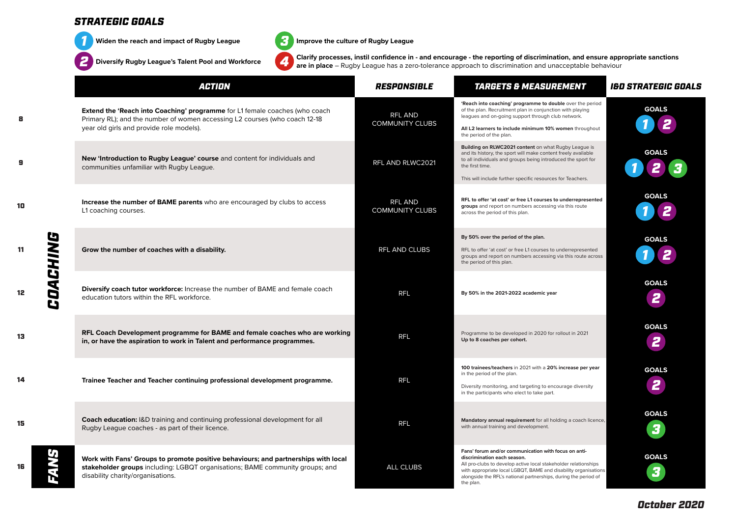

8

9

10

11

12

13

14

15

16

**Widen the reach and impact of Rugby League** 

*2* **Diversify Rugby League's Talent Pool and Workforce** *4*



**Improve the culture of Rugby League**

**Clarify processes, instil confidence in - and encourage - the reporting of discrimination, and ensure appropriate sanctions are in place** – Rugby League has a zero-tolerance approach to discrimination and unacceptable behaviour

|          | <b>ACTION</b>                                                                                                                                                                                            | RESPONSIBLE                       | <b>TARGETS &amp; MEASUREMENT</b>                                                                                                                                                                                                                                                                          | <b>I&amp;D STRATEGIC GOALS</b> |
|----------|----------------------------------------------------------------------------------------------------------------------------------------------------------------------------------------------------------|-----------------------------------|-----------------------------------------------------------------------------------------------------------------------------------------------------------------------------------------------------------------------------------------------------------------------------------------------------------|--------------------------------|
|          | Extend the 'Reach into Coaching' programme for L1 female coaches (who coach<br>Primary RL); and the number of women accessing L2 courses (who coach 12-18<br>year old girls and provide role models).    | RFL AND<br><b>COMMUNITY CLUBS</b> | 'Reach into coaching' programme to double over the period<br>of the plan. Recruitment plan in conjunction with playing<br>leagues and on-going support through club network.<br>All L2 learners to include minimum 10% women throughout<br>the period of the plan.                                        | <b>GOALS</b>                   |
|          | New 'Introduction to Rugby League' course and content for individuals and<br>communities unfamiliar with Rugby League.                                                                                   | RFL AND RLWC2021                  | Building on RLWC2021 content on what Rugby League is<br>and its history, the sport will make content freely available<br>to all individuals and groups being introduced the sport for<br>the first time.<br>This will include further specific resources for Teachers.                                    | <b>GOALS</b>                   |
|          | Increase the number of BAME parents who are encouraged by clubs to access<br>L1 coaching courses.                                                                                                        | RFL AND<br><b>COMMUNITY CLUBS</b> | RFL to offer 'at cost' or free L1 courses to underrepresented<br>groups and report on numbers accessing via this route<br>across the period of this plan.                                                                                                                                                 | <b>GOALS</b>                   |
| COACHING | Grow the number of coaches with a disability.                                                                                                                                                            | RFL AND CLUBS                     | By 50% over the period of the plan.<br>RFL to offer 'at cost' or free L1 courses to underrepresented<br>groups and report on numbers accessing via this route across<br>the period of this plan.                                                                                                          | <b>GOALS</b>                   |
|          | Diversify coach tutor workforce: Increase the number of BAME and female coach<br>education tutors within the RFL workforce.                                                                              | <b>RFL</b>                        | By 50% in the 2021-2022 academic year                                                                                                                                                                                                                                                                     | <b>GOALS</b><br>2              |
|          | RFL Coach Development programme for BAME and female coaches who are working<br>in, or have the aspiration to work in Talent and performance programmes.                                                  | <b>RFL</b>                        | Programme to be developed in 2020 for rollout in 2021<br>Up to 8 coaches per cohort.                                                                                                                                                                                                                      | <b>GOALS</b><br>2              |
|          | Trainee Teacher and Teacher continuing professional development programme.                                                                                                                               | <b>RFL</b>                        | 100 trainees/teachers in 2021 with a 20% increase per year<br>in the period of the plan.<br>Diversity monitoring, and targeting to encourage diversity<br>in the participants who elect to take part.                                                                                                     | <b>GOALS</b><br>2              |
|          | <b>Coach education:</b> I&D training and continuing professional development for all<br>Rugby League coaches - as part of their licence.                                                                 | <b>RFL</b>                        | Mandatory annual requirement for all holding a coach licence,<br>with annual training and development.                                                                                                                                                                                                    | <b>GOALS</b><br>3              |
|          | Work with Fans' Groups to promote positive behaviours; and partnerships with local<br>stakeholder groups including: LGBQT organisations; BAME community groups; and<br>disability charity/organisations. | ALL CLUBS                         | Fans' forum and/or communication with focus on anti-<br>discrimination each season.<br>All pro-clubs to develop active local stakeholder relationships<br>with appropriate local LGBQT, BAME and disability organisations<br>alongside the RFL's national partnerships, during the period of<br>the plan. | <b>GOALS</b><br>3              |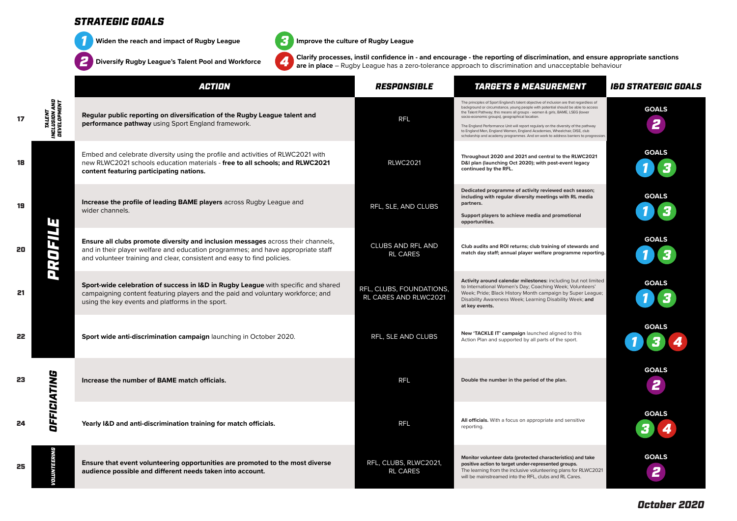

17

18

19

20

21

22

23

24

**Widen the reach and impact of Rugby League** 



**Improve the culture of Rugby League**

**Clarify processes, instil confidence in - and encourage - the reporting of discrimination, and ensure appropriate sanctions are in place** – Rugby League has a zero-tolerance approach to discrimination and unacceptable behaviour

|                                        | <b>ACTION</b>                                                                                                                                                                                                                                   | RESPONSIBLE                                       | <b>TARGETS &amp; MEASUREMENT</b>                                                                                                                                                                                                                                                                                                                                                                                                                                                                                                                                      | <b>I&amp;D STRATEGIC GOALS</b> |
|----------------------------------------|-------------------------------------------------------------------------------------------------------------------------------------------------------------------------------------------------------------------------------------------------|---------------------------------------------------|-----------------------------------------------------------------------------------------------------------------------------------------------------------------------------------------------------------------------------------------------------------------------------------------------------------------------------------------------------------------------------------------------------------------------------------------------------------------------------------------------------------------------------------------------------------------------|--------------------------------|
| TALENT<br>INCLUSION AND<br>DEVELOPMENT | Regular public reporting on diversification of the Rugby League talent and<br>performance pathway using Sport England framework.                                                                                                                | <b>RFL</b>                                        | The principles of Sport England's talent objective of inclusion are that regardless of<br>background or circumstance, young people with potential should be able to access<br>the Talent Pathway; this means all groups - women & girls, BAME, LSEG (lower<br>socio-economic groups), geographical location.<br>The England Performance Unit will report regularly on the diversity of the pathway<br>to England Men, England Women, England Academies, Wheelchair, DISE, club<br>scholarship and academy programmes. And on work to address barriers to progression. | <b>GOALS</b><br>2              |
|                                        | Embed and celebrate diversity using the profile and activities of RLWC2021 with<br>new RLWC2021 schools education materials - free to all schools; and RLWC2021<br>content featuring participating nations.                                     | <b>RLWC2021</b>                                   | Throughout 2020 and 2021 and central to the RLWC2021<br>D&I plan (launching Oct 2020); with post-event legacy<br>continued by the RFL.                                                                                                                                                                                                                                                                                                                                                                                                                                | <b>GOALS</b>                   |
|                                        | <b>Increase the profile of leading BAME players</b> across Rugby League and<br>wider channels.                                                                                                                                                  | RFL, SLE, AND CLUBS                               | Dedicated programme of activity reviewed each season;<br>including with regular diversity meetings with RL media<br>partners.<br>Support players to achieve media and promotional<br>opportunities.                                                                                                                                                                                                                                                                                                                                                                   | <b>GOALS</b>                   |
| ENEOYG                                 | Ensure all clubs promote diversity and inclusion messages across their channels,<br>and in their player welfare and education programmes; and have appropriate staff<br>and volunteer training and clear, consistent and easy to find policies. | <b>CLUBS AND RFL AND</b><br><b>RL CARES</b>       | Club audits and ROI returns; club training of stewards and<br>match day staff; annual player welfare programme reporting.                                                                                                                                                                                                                                                                                                                                                                                                                                             | <b>GOALS</b>                   |
|                                        | Sport-wide celebration of success in I&D in Rugby League with specific and shared<br>campaigning content featuring players and the paid and voluntary workforce; and<br>using the key events and platforms in the sport.                        | RFL, CLUBS, FOUNDATIONS,<br>RL CARES AND RLWC2021 | Activity around calendar milestones: including but not limited<br>to International Women's Day; Coaching Week; Volunteers'<br>Week; Pride; Black History Month campaign by Super League;<br>Disability Awareness Week; Learning Disability Week; and<br>at key events.                                                                                                                                                                                                                                                                                                | <b>GOALS</b>                   |
|                                        | Sport wide anti-discrimination campaign launching in October 2020.                                                                                                                                                                              | RFL, SLE AND CLUBS                                | New 'TACKLE IT' campaign launched aligned to this<br>Action Plan and supported by all parts of the sport.                                                                                                                                                                                                                                                                                                                                                                                                                                                             | <b>GOALS</b>                   |
| DFFICIATING                            | Increase the number of BAME match officials.                                                                                                                                                                                                    | <b>RFL</b>                                        | Double the number in the period of the plan.                                                                                                                                                                                                                                                                                                                                                                                                                                                                                                                          | <b>GOALS</b><br>2              |
|                                        | Yearly I&D and anti-discrimination training for match officials.                                                                                                                                                                                | <b>RFL</b>                                        | All officials. With a focus on appropriate and sensitive<br>reporting.                                                                                                                                                                                                                                                                                                                                                                                                                                                                                                | <b>GOALS</b>                   |
|                                        | Ensure that event volunteering opportunities are promoted to the most diverse<br>audience possible and different needs taken into account.                                                                                                      | RFL, CLUBS, RLWC2021,<br><b>RL CARES</b>          | Monitor volunteer data (protected characteristics) and take<br>positive action to target under-represented groups.<br>The learning from the inclusive volunteering plans for RLWC2021<br>will be mainstreamed into the RFL, clubs and RL Cares.                                                                                                                                                                                                                                                                                                                       | <b>GOALS</b><br>2              |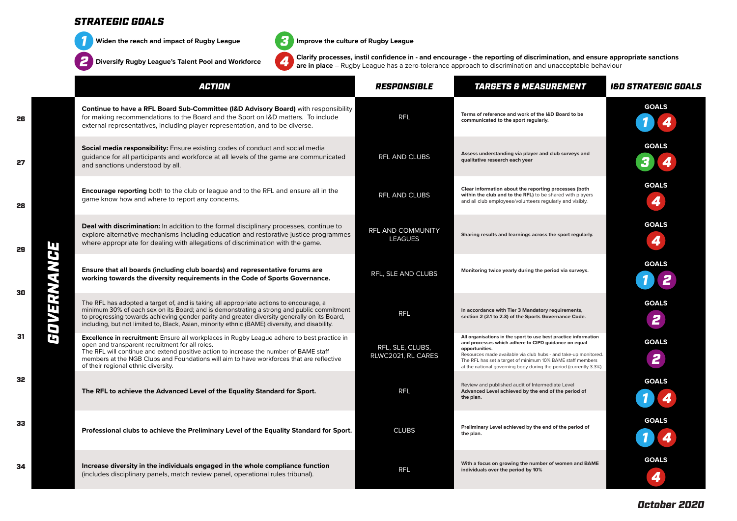

**Widen the reach and impact of Rugby League** *3*



**Improve the culture of Rugby League**

**Clarify processes, instil confidence in - and encourage - the reporting of discrimination, and ensure appropriate sanctions are in place** – Rugby League has a zero-tolerance approach to discrimination and unacceptable behaviour

|               | <b>ACTION</b>                                                                                                                                                                                                                                                                                                                                                                         | <b>RESPONSIBLE</b>                         | <b>TARGETS &amp; MEASUREMENT</b>                                                                                                                                                                                                                                                                                                                 | I&D STRATEGIC GOALS |
|---------------|---------------------------------------------------------------------------------------------------------------------------------------------------------------------------------------------------------------------------------------------------------------------------------------------------------------------------------------------------------------------------------------|--------------------------------------------|--------------------------------------------------------------------------------------------------------------------------------------------------------------------------------------------------------------------------------------------------------------------------------------------------------------------------------------------------|---------------------|
|               | Continue to have a RFL Board Sub-Committee (I&D Advisory Board) with responsibility<br>for making recommendations to the Board and the Sport on I&D matters. To include<br>external representatives, including player representation, and to be diverse.                                                                                                                              | <b>RFL</b>                                 | Terms of reference and work of the I&D Board to be<br>communicated to the sport regularly.                                                                                                                                                                                                                                                       | <b>GOALS</b>        |
| П<br>GOVERNAN | <b>Social media responsibility:</b> Ensure existing codes of conduct and social media<br>guidance for all participants and workforce at all levels of the game are communicated<br>and sanctions understood by all.                                                                                                                                                                   | <b>RFL AND CLUBS</b>                       | Assess understanding via player and club surveys and<br>qualitative research each year                                                                                                                                                                                                                                                           | <b>GOALS</b>        |
|               | <b>Encourage reporting</b> both to the club or league and to the RFL and ensure all in the<br>game know how and where to report any concerns.                                                                                                                                                                                                                                         | RFL AND CLUBS                              | Clear information about the reporting processes (both<br>within the club and to the RFL) to be shared with players<br>and all club employees/volunteers regularly and visibly.                                                                                                                                                                   | <b>GOALS</b><br>4   |
|               | <b>Deal with discrimination:</b> In addition to the formal disciplinary processes, continue to<br>explore alternative mechanisms including education and restorative justice programmes<br>where appropriate for dealing with allegations of discrimination with the game.                                                                                                            | <b>RFL AND COMMUNITY</b><br><b>LEAGUES</b> | Sharing results and learnings across the sport regularly.                                                                                                                                                                                                                                                                                        | <b>GOALS</b><br>4   |
|               | Ensure that all boards (including club boards) and representative forums are<br>working towards the diversity requirements in the Code of Sports Governance.                                                                                                                                                                                                                          | RFL, SLE AND CLUBS                         | Monitoring twice yearly during the period via surveys.                                                                                                                                                                                                                                                                                           | <b>GOALS</b>        |
|               | The RFL has adopted a target of, and is taking all appropriate actions to encourage, a<br>minimum 30% of each sex on its Board; and is demonstrating a strong and public commitment<br>to progressing towards achieving gender parity and greater diversity generally on its Board,<br>including, but not limited to, Black, Asian, minority ethnic (BAME) diversity, and disability. | <b>RFL</b>                                 | In accordance with Tier 3 Mandatory requirements,<br>section 2 (2.1 to 2.3) of the Sports Governance Code.                                                                                                                                                                                                                                       | <b>GOALS</b><br>2   |
|               | <b>Excellence in recruitment:</b> Ensure all workplaces in Rugby League adhere to best practice in<br>open and transparent recruitment for all roles.<br>The RFL will continue and extend positive action to increase the number of BAME staff<br>members at the NGB Clubs and Foundations will aim to have workforces that are reflective<br>of their regional ethnic diversity.     | RFL, SLE, CLUBS,<br>RLWC2021, RL CARES     | All organisations in the sport to use best practice information<br>and processes which adhere to CIPD guidance on equal<br>opportunities.<br>Resources made available via club hubs - and take-up monitored.<br>The RFL has set a target of minimum 10% BAME staff members<br>at the national governing body during the period (currently 3.3%). | <b>GOALS</b><br>2   |
|               | The RFL to achieve the Advanced Level of the Equality Standard for Sport.                                                                                                                                                                                                                                                                                                             | <b>RFL</b>                                 | Review and published audit of Intermediate Level<br>Advanced Level achieved by the end of the period of<br>the plan.                                                                                                                                                                                                                             | <b>GOALS</b>        |
|               | Professional clubs to achieve the Preliminary Level of the Equality Standard for Sport.                                                                                                                                                                                                                                                                                               | <b>CLUBS</b>                               | Preliminary Level achieved by the end of the period of<br>the plan.                                                                                                                                                                                                                                                                              | <b>GOALS</b>        |
|               | Increase diversity in the individuals engaged in the whole compliance function<br>(includes disciplinary panels, match review panel, operational rules tribunal).                                                                                                                                                                                                                     | <b>RFL</b>                                 | With a focus on growing the number of women and BAME<br>individuals over the period by 10%                                                                                                                                                                                                                                                       | <b>GOALS</b>        |

26

28

32

34